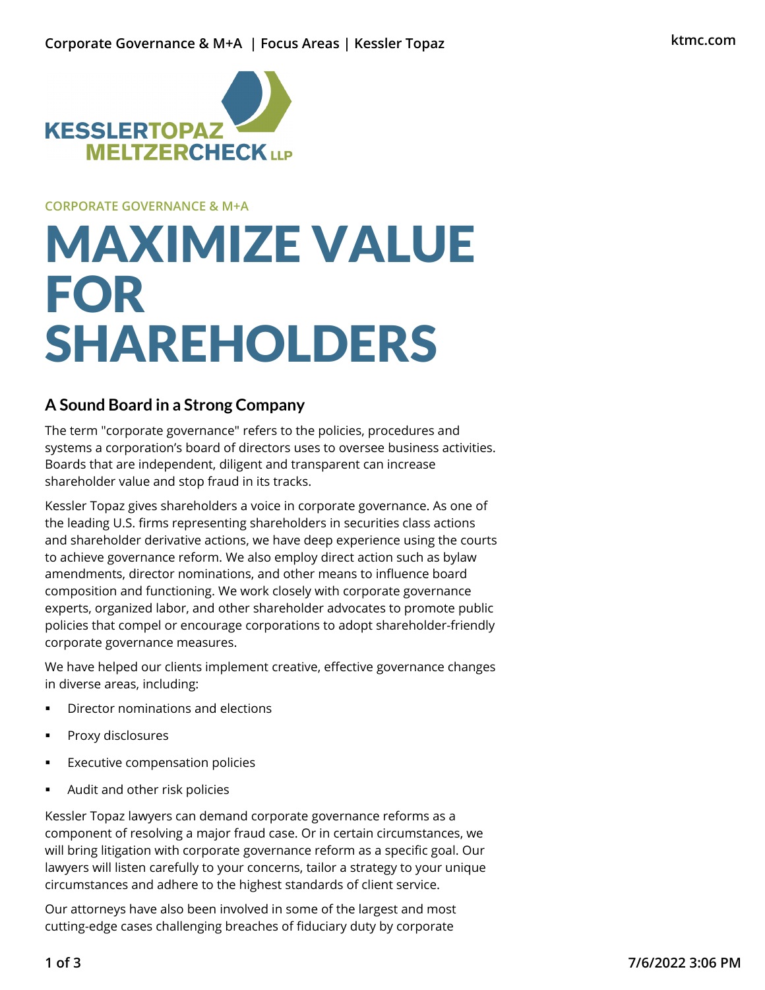

**CORPORATE GOVERNANCE & M+A**

# MAXIMIZE VALUE FOR SHAREHOLDERS

## **A Sound Board in a Strong Company**

The term "corporate governance" refers to the policies, procedures and systems a corporation's board of directors uses to oversee business activities. Boards that are independent, diligent and transparent can increase shareholder value and stop fraud in its tracks.

Kessler Topaz gives shareholders a voice in corporate governance. As one of the leading U.S. firms representing shareholders in securities class actions and shareholder derivative actions, we have deep experience using the courts to achieve governance reform. We also employ direct action such as bylaw amendments, director nominations, and other means to influence board composition and functioning. We work closely with corporate governance experts, organized labor, and other shareholder advocates to promote public policies that compel or encourage corporations to adopt shareholder-friendly corporate governance measures.

We have helped our clients implement creative, effective governance changes in diverse areas, including:

- **•** Director nominations and elections
- **Proxy disclosures**
- Executive compensation policies
- Audit and other risk policies

Kessler Topaz lawyers can demand corporate governance reforms as a component of resolving a major fraud case. Or in certain circumstances, we will bring litigation with corporate governance reform as a specific goal. Our lawyers will listen carefully to your concerns, tailor a strategy to your unique circumstances and adhere to the highest standards of client service.

Our attorneys have also been involved in some of the largest and most cutting-edge cases challenging breaches of fiduciary duty by corporate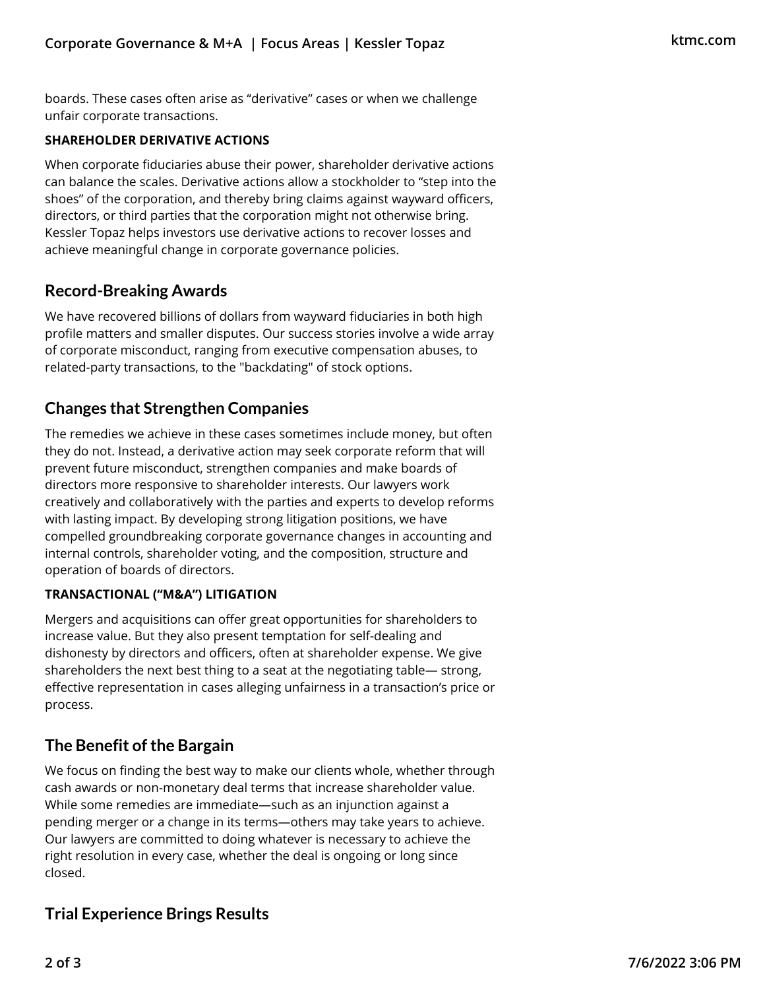boards. These cases often arise as "derivative" cases or when we challenge unfair corporate transactions.

#### **SHAREHOLDER DERIVATIVE ACTIONS**

When corporate fiduciaries abuse their power, shareholder derivative actions can balance the scales. Derivative actions allow a stockholder to "step into the shoes" of the corporation, and thereby bring claims against wayward officers, directors, or third parties that the corporation might not otherwise bring. Kessler Topaz helps investors use derivative actions to recover losses and achieve meaningful change in corporate governance policies.

## **Record-Breaking Awards**

We have recovered billions of dollars from wayward fiduciaries in both high profile matters and smaller disputes. Our success stories involve a wide array of corporate misconduct, ranging from executive compensation abuses, to related-party transactions, to the "backdating" of stock options.

## **Changes that Strengthen Companies**

The remedies we achieve in these cases sometimes include money, but often they do not. Instead, a derivative action may seek corporate reform that will prevent future misconduct, strengthen companies and make boards of directors more responsive to shareholder interests. Our lawyers work creatively and collaboratively with the parties and experts to develop reforms with lasting impact. By developing strong litigation positions, we have compelled groundbreaking corporate governance changes in accounting and internal controls, shareholder voting, and the composition, structure and operation of boards of directors.

#### **TRANSACTIONAL ("M&A") LITIGATION**

Mergers and acquisitions can offer great opportunities for shareholders to increase value. But they also present temptation for self-dealing and dishonesty by directors and officers, often at shareholder expense. We give shareholders the next best thing to a seat at the negotiating table— strong, effective representation in cases alleging unfairness in a transaction's price or process.

## **The Benefit of the Bargain**

We focus on finding the best way to make our clients whole, whether through cash awards or non-monetary deal terms that increase shareholder value. While some remedies are immediate—such as an injunction against a pending merger or a change in its terms—others may take years to achieve. Our lawyers are committed to doing whatever is necessary to achieve the right resolution in every case, whether the deal is ongoing or long since closed.

## **Trial Experience Brings Results**